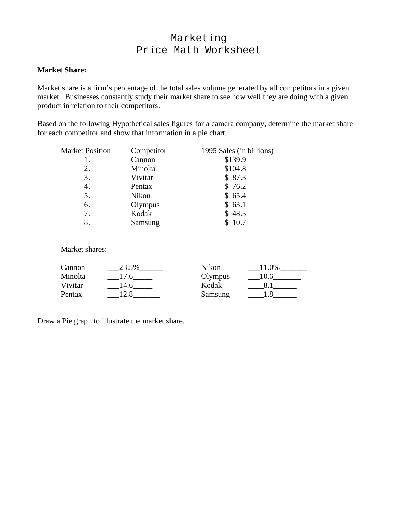# Marketing Price Math Worksheet

#### **Market Share:**

Market share is a firm's percentage of the total sales volume generated by all competitors in a given market. Businesses constantly study their market share to see how well they are doing with a given product in relation to their competitors.

Based on the following Hypothetical sales figures for a camera company, determine the market share for each competitor and show that information in a pie chart.

| <b>Market Position</b> | Competitor | 1995 Sales (in billions) |
|------------------------|------------|--------------------------|
|                        | Cannon     | \$139.9                  |
| 2.                     | Minolta    | \$104.8                  |
| 3.                     | Vivitar    | \$87.3                   |
| 4.                     | Pentax     | \$76.2                   |
| 5.                     | Nikon      | \$65.4                   |
| 6.                     | Olympus    | \$63.1                   |
| 7.                     | Kodak      | \$48.5                   |
| 8.                     | Samsung    | 10.7                     |

Market shares:

| Cannon  | 23.5% | Nikon   | $9\%$ |
|---------|-------|---------|-------|
| Minolta |       | Olympus |       |
| Vivitar | .4.6  | Kodak   |       |
| Pentax  |       | Samsung |       |

Draw a Pie graph to illustrate the market share.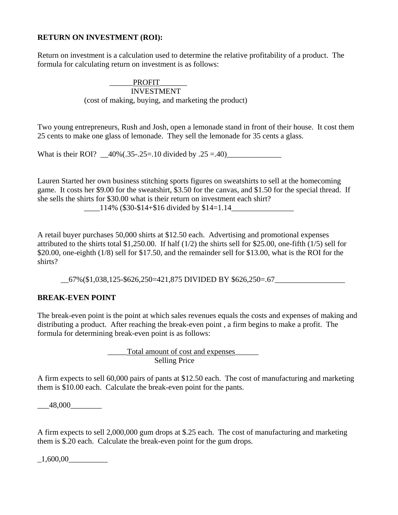#### **RETURN ON INVESTMENT (ROI):**

Return on investment is a calculation used to determine the relative profitability of a product. The formula for calculating return on investment is as follows:

#### PROFIT\_ INVESTMENT (cost of making, buying, and marketing the product)

Two young entrepreneurs, Rush and Josh, open a lemonade stand in front of their house. It cost them 25 cents to make one glass of lemonade. They sell the lemonade for 35 cents a glass.

What is their ROI?  $40\%(.35-.25=.10 \text{ divided by } .25=.40)$ 

Lauren Started her own business stitching sports figures on sweatshirts to sell at the homecoming game. It costs her \$9.00 for the sweatshirt, \$3.50 for the canvas, and \$1.50 for the special thread. If she sells the shirts for \$30.00 what is their return on investment each shirt?

 $\frac{114\%}{\$30\text{-}\$14\text{+}\$16 \text{ divided by } \$14=1.14$ 

A retail buyer purchases 50,000 shirts at \$12.50 each. Advertising and promotional expenses attributed to the shirts total \$1,250.00. If half  $(1/2)$  the shirts sell for \$25.00, one-fifth  $(1/5)$  sell for \$20.00, one-eighth (1/8) sell for \$17.50, and the remainder sell for \$13.00, what is the ROI for the shirts?

\_\_67%(\$1,038,125-\$626,250=421,875 DIVIDED BY \$626,250=.67\_\_\_\_\_\_\_\_\_\_\_\_\_\_\_\_\_\_

### **BREAK-EVEN POINT**

The break-even point is the point at which sales revenues equals the costs and expenses of making and distributing a product. After reaching the break-even point , a firm begins to make a profit. The formula for determining break-even point is as follows:

> \_\_\_\_\_Total amount of cost and expenses\_\_\_\_\_\_ Selling Price

A firm expects to sell 60,000 pairs of pants at \$12.50 each. The cost of manufacturing and marketing them is \$10.00 each. Calculate the break-even point for the pants.

 $-48,000$ 

A firm expects to sell 2,000,000 gum drops at \$.25 each. The cost of manufacturing and marketing them is \$.20 each. Calculate the break-even point for the gum drops.

 $\_1,600,00$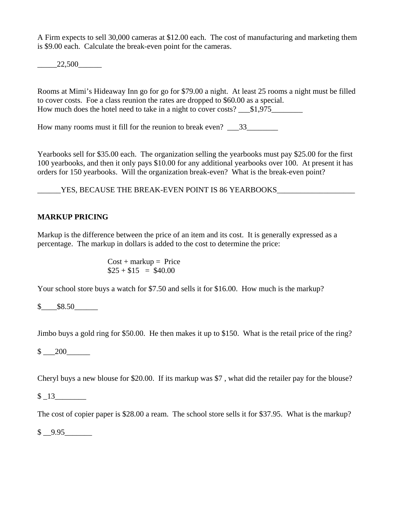A Firm expects to sell 30,000 cameras at \$12.00 each. The cost of manufacturing and marketing them is \$9.00 each. Calculate the break-even point for the cameras.

 $-22,500$ 

Rooms at Mimi's Hideaway Inn go for go for \$79.00 a night. At least 25 rooms a night must be filled to cover costs. Foe a class reunion the rates are dropped to \$60.00 as a special. How much does the hotel need to take in a night to cover costs?  $\qquad$  \$1,975

How many rooms must it fill for the reunion to break even?  $33$ 

Yearbooks sell for \$35.00 each. The organization selling the yearbooks must pay \$25.00 for the first 100 yearbooks, and then it only pays \$10.00 for any additional yearbooks over 100. At present it has orders for 150 yearbooks. Will the organization break-even? What is the break-even point?

\_\_\_\_\_\_YES, BECAUSE THE BREAK-EVEN POINT IS 86 YEARBOOKS\_\_\_\_\_\_\_\_\_\_\_\_\_\_\_\_\_\_\_\_

# **MARKUP PRICING**

Markup is the difference between the price of an item and its cost. It is generally expressed as a percentage. The markup in dollars is added to the cost to determine the price:

> $Cost + markup = Price$  $$25 + $15 = $40.00$

Your school store buys a watch for \$7.50 and sells it for \$16.00. How much is the markup?

 $$8.50$ 

Jimbo buys a gold ring for \$50.00. He then makes it up to \$150. What is the retail price of the ring?

 $$ 200$ 

Cheryl buys a new blouse for \$20.00. If its markup was \$7 , what did the retailer pay for the blouse?

 $$13$ 

The cost of copier paper is \$28.00 a ream. The school store sells it for \$37.95. What is the markup?

 $$ 9.95$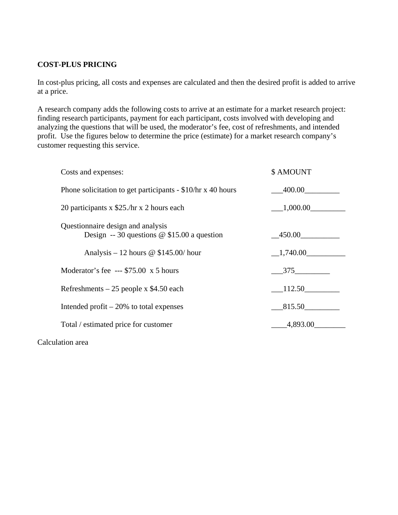# **COST-PLUS PRICING**

In cost-plus pricing, all costs and expenses are calculated and then the desired profit is added to arrive at a price.

A research company adds the following costs to arrive at an estimate for a market research project: finding research participants, payment for each participant, costs involved with developing and analyzing the questions that will be used, the moderator's fee, cost of refreshments, and intended profit. Use the figures below to determine the price (estimate) for a market research company's customer requesting this service.

| Costs and expenses:                                                                | \$ AMOUNT |
|------------------------------------------------------------------------------------|-----------|
| Phone solicitation to get participants - \$10/hr x 40 hours                        | 400.00    |
| 20 participants x \$25./hr x 2 hours each                                          | 1,000.00  |
| Questionnaire design and analysis<br>Design -- 30 questions $@$ \$15.00 a question | 450.00    |
| Analysis – 12 hours $\omega$ \$145.00/ hour                                        | 1,740.00  |
| Moderator's fee --- $$75.00 \times 5 \text{ hours}$                                | 375       |
| Refreshments $-25$ people x \$4.50 each                                            | 112.50    |
| Intended profit $-20\%$ to total expenses                                          | 815.50    |
| Total / estimated price for customer                                               | 4,893.00  |
|                                                                                    |           |

Calculation area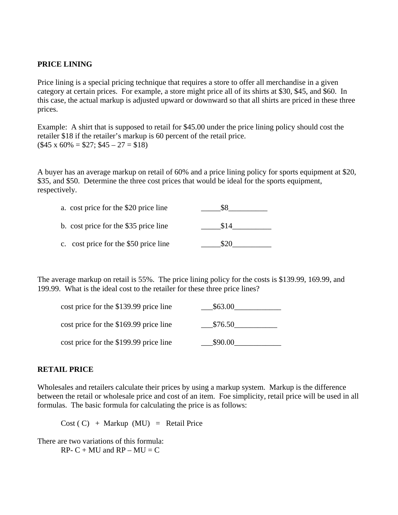### **PRICE LINING**

Price lining is a special pricing technique that requires a store to offer all merchandise in a given category at certain prices. For example, a store might price all of its shirts at \$30, \$45, and \$60. In this case, the actual markup is adjusted upward or downward so that all shirts are priced in these three prices.

Example: A shirt that is supposed to retail for \$45.00 under the price lining policy should cost the retailer \$18 if the retailer's markup is 60 percent of the retail price.  $($45 \times 60\% = $27; $45 - 27 = $18)$ 

A buyer has an average markup on retail of 60% and a price lining policy for sports equipment at \$20, \$35, and \$50. Determine the three cost prices that would be ideal for the sports equipment, respectively.

| a. cost price for the \$20 price line |      |
|---------------------------------------|------|
| b. cost price for the \$35 price line | \$14 |
| c. cost price for the \$50 price line |      |

The average markup on retail is 55%. The price lining policy for the costs is \$139.99, 169.99, and 199.99. What is the ideal cost to the retailer for these three price lines?

| cost price for the \$139.99 price line | \$63.00 |
|----------------------------------------|---------|
| cost price for the \$169.99 price line | \$76.50 |
| cost price for the \$199.99 price line | \$90.00 |

#### **RETAIL PRICE**

Wholesales and retailers calculate their prices by using a markup system. Markup is the difference between the retail or wholesale price and cost of an item. Foe simplicity, retail price will be used in all formulas. The basic formula for calculating the price is as follows:

 $Cost ( C) + Markup (MU) = Retail Price$ 

There are two variations of this formula:  $RP - C + MU$  and  $RP - MU = C$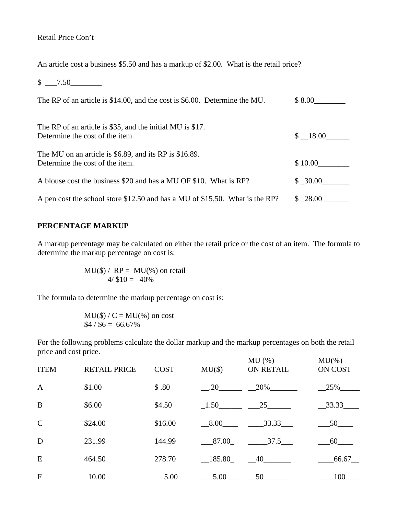## Retail Price Con't

An article cost a business \$5.50 and has a markup of \$2.00. What is the retail price?

 $$ -7.50$ 

| The RP of an article is \$14.00, and the cost is \$6.00. Determine the MU.                    | \$8.00  |
|-----------------------------------------------------------------------------------------------|---------|
| The RP of an article is \$35, and the initial MU is \$17.<br>Determine the cost of the item.  | \$18.00 |
| The MU on an article is $$6.89$ , and its RP is $$16.89$ .<br>Determine the cost of the item. | \$10.00 |
| A blouse cost the business \$20 and has a MU OF \$10. What is RP?                             | \$30.00 |
| A pen cost the school store \$12.50 and has a MU of \$15.50. What is the RP?                  | \$28.00 |

#### **PERCENTAGE MARKUP**

A markup percentage may be calculated on either the retail price or the cost of an item. The formula to determine the markup percentage on cost is:

> $MU(\$) / RP = MU(\%)$  on retail  $4/ $10 = 40\%$

The formula to determine the markup percentage on cost is:

$$
MU(\$)/C = MU(%)
$$
on cost  
\$4 / \$6 = 66.67%

For the following problems calculate the dollar markup and the markup percentages on both the retail price and cost price.

| <b>ITEM</b>   | <b>RETAIL PRICE</b> | <b>COST</b> | $MU(\$))$ | MU(%)<br>ON RETAIL         | $MU$ %)<br>ON COST |
|---------------|---------------------|-------------|-----------|----------------------------|--------------------|
| $\mathbf{A}$  | \$1.00              | \$.80       | .20       | 20%                        | 25%                |
| B             | \$6.00              | \$4.50      |           | $-1.50$ 25                 | 33.33              |
| $\mathcal{C}$ | \$24.00             | \$16.00     | 8.00      | 33.33                      | 50                 |
| D             | 231.99              | 144.99      | 87.00     | 37.5                       | 60                 |
| E             | 464.50              | 278.70      | $-185.80$ | $-40$                      | 66.67              |
| $\mathbf{F}$  | 10.00               | 5.00        | .5.00     | $50$ <sub>__________</sub> | 100                |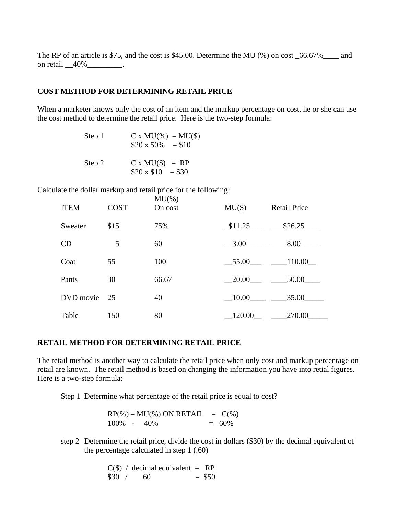The RP of an article is \$75, and the cost is \$45.00. Determine the MU (%) on cost  $66.67\%$  and on retail \_40% \_\_\_\_\_\_\_\_.

#### **COST METHOD FOR DETERMINING RETAIL PRICE**

When a marketer knows only the cost of an item and the markup percentage on cost, he or she can use the cost method to determine the retail price. Here is the two-step formula:

| Step 1 | $C x MU(*) = MU(*)$<br>$$20 \times 50\% = $10$ |
|--------|------------------------------------------------|
| Step 2 | $C x MU(\$)) = RP$<br>$$20 \times $10 = $30$   |

Calculate the dollar markup and retail price for the following:

| <b>ITEM</b>  | <b>COST</b> | $MU$ %)<br>On cost | $MU(\$)$  | <b>Retail Price</b> |
|--------------|-------------|--------------------|-----------|---------------------|
| Sweater      | \$15        | 75%                |           | $$11.25$ $$26.25$   |
| CD           | 5           | 60                 | 3.00 8.00 |                     |
| Coat         | 55          | 100                |           | $-55.00$ 110.00     |
| Pants        | 30          | 66.67              |           | $-20.00$ 50.00      |
| DVD movie 25 |             | 40                 |           | 10.00 35.00         |
| Table        | 150         | 80                 | 120.00    | 270.00              |

#### **RETAIL METHOD FOR DETERMINING RETAIL PRICE**

The retail method is another way to calculate the retail price when only cost and markup percentage on retail are known. The retail method is based on changing the information you have into retial figures. Here is a two-step formula:

Step 1 Determine what percentage of the retail price is equal to cost?

| $RP(\%) - MU(\%) ON RETAIL = C(\%)$ |          |
|-------------------------------------|----------|
| $100\% - 40\%$                      | $= 60\%$ |

step 2 Determine the retail price, divide the cost in dollars (\$30) by the decimal equivalent of the percentage calculated in step 1 (.60)

> $C(\$)$  / decimal equivalent = RP  $$30 / .60 = $50$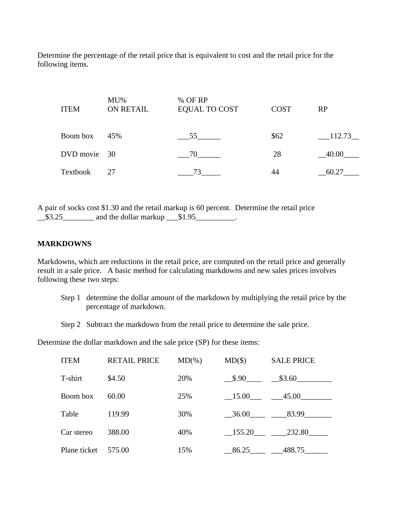Determine the percentage of the retail price that is equivalent to cost and the retail price for the following items.

| <b>ITEM</b>  | $MU\%$<br><b>ON RETAIL</b> | % OF RP<br>EQUAL TO COST | <b>COST</b> | RP     |
|--------------|----------------------------|--------------------------|-------------|--------|
| Boom box     | 45%                        | $55$ <sub>——</sub>       | \$62        | 112.73 |
| DVD movie 30 |                            | 70                       | 28          | 40.00  |
| Textbook     | 27                         | 73                       | 44          | 60.27  |

A pair of socks cost \$1.30 and the retail markup is 60 percent. Determine the retail price  $\frac{\$3.25}\_$  and the dollar markup  $\frac{\$1.95}\_$ 

#### **MARKDOWNS**

Markdowns, which are reductions in the retail price, are computed on the retail price and generally result in a sale price. A basic method for calculating markdowns and new sales prices involves following these two steps:

- Step 1 determine the dollar amount of the markdown by multiplying the retail price by the percentage of markdown.
- Step 2 Subtract the markdown from the retail price to determine the sale price.

Determine the dollar markdown and the sale price (SP) for these items:

| <b>ITEM</b>  | <b>RETAIL PRICE</b> | $MD(\% )$ | $MD(\$))$ | <b>SALE PRICE</b> |
|--------------|---------------------|-----------|-----------|-------------------|
| T-shirt      | \$4.50              | 20%       |           | $$.90$ $$3.60$    |
| Boom box     | 60.00               | 25%       | 15.00     | 45.00             |
| Table        | 119.99              | 30%       | 36.00     | 83.99             |
| Car stereo   | 388.00              | 40%       | $-155.20$ | 232.80            |
| Plane ticket | 575.00              | 15%       | 86.25     | 488.75            |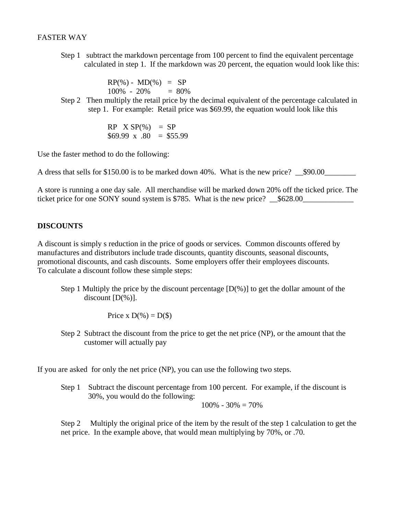#### FASTER WAY

 Step 1 subtract the markdown percentage from 100 percent to find the equivalent percentage calculated in step 1. If the markdown was 20 percent, the equation would look like this:

> $RP(\%) - MD(\%) = SP$  $100\% - 20\% = 80\%$

 Step 2 Then multiply the retail price by the decimal equivalent of the percentage calculated in step 1. For example: Retail price was \$69.99, the equation would look like this

> $RP$   $X$   $SP$ (%) =  $SP$  $$69.99 \times .80 = $55.99$

Use the faster method to do the following:

A dress that sells for \$150.00 is to be marked down 40%. What is the new price?  $$90.00$ 

A store is running a one day sale. All merchandise will be marked down 20% off the ticked price. The ticket price for one SONY sound system is \$785. What is the new price? \_\_\$628.00\_\_

#### **DISCOUNTS**

A discount is simply s reduction in the price of goods or services. Common discounts offered by manufactures and distributors include trade discounts, quantity discounts, seasonal discounts, promotional discounts, and cash discounts. Some employers offer their employees discounts. To calculate a discount follow these simple steps:

Step 1 Multiply the price by the discount percentage  $[D(\%)]$  to get the dollar amount of the discount [D(%)].

Price x  $D(\%) = D(\$)$ 

 Step 2 Subtract the discount from the price to get the net price (NP), or the amount that the customer will actually pay

If you are asked for only the net price (NP), you can use the following two steps.

Step 1 Subtract the discount percentage from 100 percent. For example, if the discount is 30%, you would do the following:

 $100\% - 30\% = 70\%$ 

Step 2 Multiply the original price of the item by the result of the step 1 calculation to get the net price. In the example above, that would mean multiplying by 70%, or .70.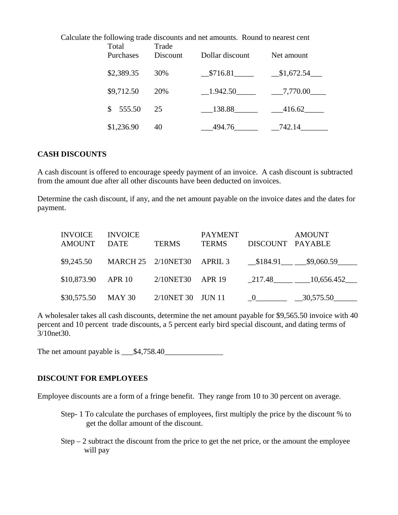| Carculate the following trade discounts and net amounts. Tround to hearest cent<br>Trade<br>Total |            |          |                 |             |  |
|---------------------------------------------------------------------------------------------------|------------|----------|-----------------|-------------|--|
|                                                                                                   | Purchases  | Discount | Dollar discount | Net amount  |  |
|                                                                                                   | \$2,389.35 | 30%      | \$716.81        | \$1,672.54  |  |
|                                                                                                   | \$9,712.50 | 20%      |                 | $-7,770.00$ |  |
|                                                                                                   | \$555.50   | 25       | 138.88          | 416.62      |  |
|                                                                                                   | \$1,236.90 | 40       | 494.76          | 742.14      |  |

# Calculate the following trade discounts and net amounts. Round to nearest cent

### **CASH DISCOUNTS**

A cash discount is offered to encourage speedy payment of an invoice. A cash discount is subtracted from the amount due after all other discounts have been deducted on invoices.

Determine the cash discount, if any, and the net amount payable on the invoice dates and the dates for payment.

| <b>INVOICE</b><br>AMOUNT DATE | <b>INVOICE</b>                        | <b>TERMS</b> | <b>PAYMENT</b><br>TERMS | DISCOUNT PAYABLE | <b>AMOUNT</b>                      |
|-------------------------------|---------------------------------------|--------------|-------------------------|------------------|------------------------------------|
|                               | \$9,245.50 MARCH 25 2/10NET30 APRIL 3 |              |                         |                  | $$184.91$ $$9,060.59$              |
|                               | $$10,873.90$ APR 10                   |              |                         |                  | 2/10NET30 APR 19 217.48 10,656.452 |
|                               | \$30,575.50 MAY 30 2/10NET 30 JUN 11  |              |                         |                  |                                    |

A wholesaler takes all cash discounts, determine the net amount payable for \$9,565.50 invoice with 40 percent and 10 percent trade discounts, a 5 percent early bird special discount, and dating terms of 3/10net30.

The net amount payable is  $$4,758.40$ 

#### **DISCOUNT FOR EMPLOYEES**

Employee discounts are a form of a fringe benefit. They range from 10 to 30 percent on average.

- Step- 1 To calculate the purchases of employees, first multiply the price by the discount % to get the dollar amount of the discount.
- Step  $-2$  subtract the discount from the price to get the net price, or the amount the employee will pay